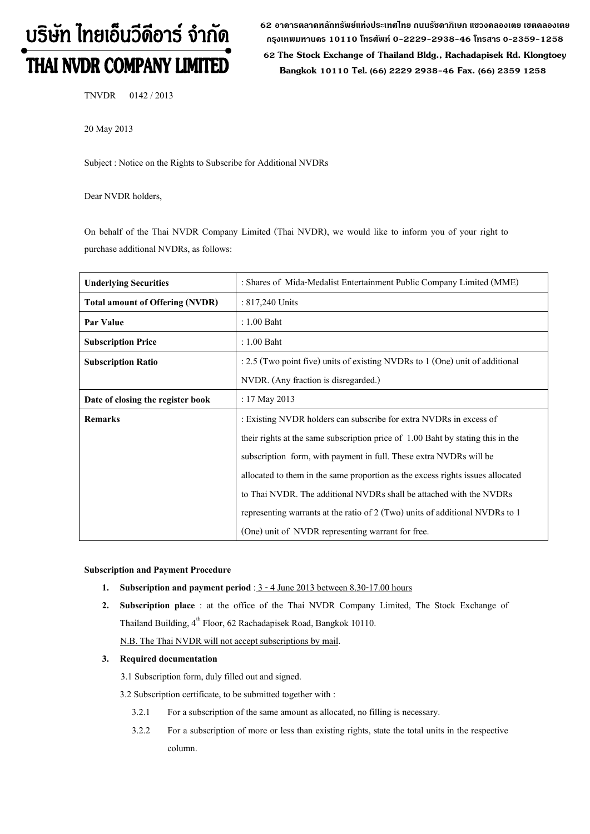# บริษัท ไทยเอ็นวีดีอาร์ จำกัด THAI NVDR COMPANY LIMITED

62 อาดารตลาดหลักทรัพย์แห่งประเทศไทย ถนนรัซดาภิเษก แขวงดลองเตย เขตดลองเตย **ก"# 10110 & 0-2229-2938-46 &, 0-2359-1258**

 **62 The Stock Exchange of Thailand Bldg., Rachadapisek Rd. Klongtoey Bangkok 10110 Tel. (66) 2229 2938-46 Fax. (66) 2359 1258**

TNVDR 0142 / 2013

20 May 2013

Subject : Notice on the Rights to Subscribe for Additional NVDRs

Dear NVDR holders,

On behalf of the Thai NVDR Company Limited (Thai NVDR), we would like to inform you of your right to purchase additional NVDRs, as follows:

| <b>Underlying Securities</b>           | : Shares of Mida-Medalist Entertainment Public Company Limited (MME)            |  |
|----------------------------------------|---------------------------------------------------------------------------------|--|
| <b>Total amount of Offering (NVDR)</b> | : $817,240$ Units                                                               |  |
| Par Value                              | $: 1.00$ Baht                                                                   |  |
| <b>Subscription Price</b>              | $: 1.00$ Baht                                                                   |  |
| <b>Subscription Ratio</b>              | $: 2.5$ (Two point five) units of existing NVDRs to 1 (One) unit of additional  |  |
|                                        | NVDR. (Any fraction is disregarded.)                                            |  |
| Date of closing the register book      | : $17$ May 2013                                                                 |  |
| <b>Remarks</b>                         | : Existing NVDR holders can subscribe for extra NVDRs in excess of              |  |
|                                        | their rights at the same subscription price of 1.00 Baht by stating this in the |  |
|                                        | subscription form, with payment in full. These extra NVDRs will be              |  |
|                                        | allocated to them in the same proportion as the excess rights issues allocated  |  |
|                                        | to Thai NVDR. The additional NVDRs shall be attached with the NVDRs             |  |
|                                        | representing warrants at the ratio of 2 (Two) units of additional NVDRs to 1    |  |
|                                        | (One) unit of NVDR representing warrant for free.                               |  |

#### **Subscription and Payment Procedure**

- **1. Subscription and payment period** : 3 4 June 2013 between 8.30-17.00 hours
- **2. Subscription place** : at the office of the Thai NVDR Company Limited, The Stock Exchange of Thailand Building, 4<sup>th</sup> Floor, 62 Rachadapisek Road, Bangkok 10110.
	- N.B. The Thai NVDR will not accept subscriptions by mail.

### **3. Required documentation**

3.1 Subscription form, duly filled out and signed.

3.2 Subscription certificate, to be submitted together with :

- 3.2.1 For a subscription of the same amount as allocated, no filling is necessary.
- 3.2.2 For a subscription of more or less than existing rights, state the total units in the respective column.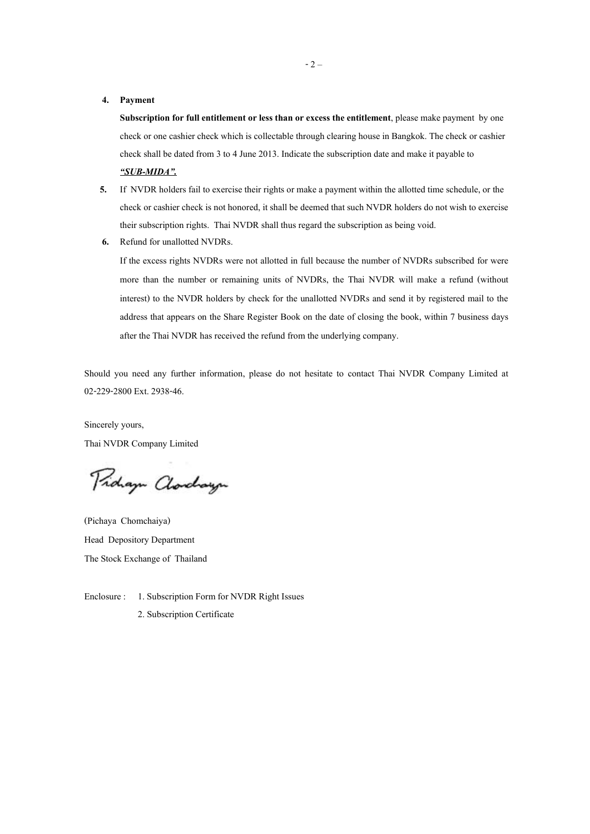#### **4. Payment**

**Subscription for full entitlement or less than or excess the entitlement**, please make payment by one check or one cashier check which is collectable through clearing house in Bangkok. The check or cashier check shall be dated from 3 to 4 June 2013. Indicate the subscription date and make it payable to *-SUB-MIDA.*

- **5.** If NVDR holders fail to exercise their rights or make a payment within the allotted time schedule, or the check or cashier check is not honored, it shall be deemed that such NVDR holders do not wish to exercise their subscription rights. Thai NVDR shall thus regard the subscription as being void.
- **6.** Refund for unallotted NVDRs.

If the excess rights NVDRs were not allotted in full because the number of NVDRs subscribed for were more than the number or remaining units of NVDRs, the Thai NVDR will make a refund (without interest) to the NVDR holders by check for the unallotted NVDRs and send it by registered mail to the address that appears on the Share Register Book on the date of closing the book, within 7 business days after the Thai NVDR has received the refund from the underlying company.

Should you need any further information, please do not hesitate to contact Thai NVDR Company Limited at 02-229-2800 Ext. 2938-46.

Sincerely yours, Thai NVDR Company Limited

Pridaya Clorchaya

(Pichaya Chomchaiya) Head Depository Department The Stock Exchange of Thailand

Enclosure : 1. Subscription Form for NVDR Right Issues

2. Subscription Certificate